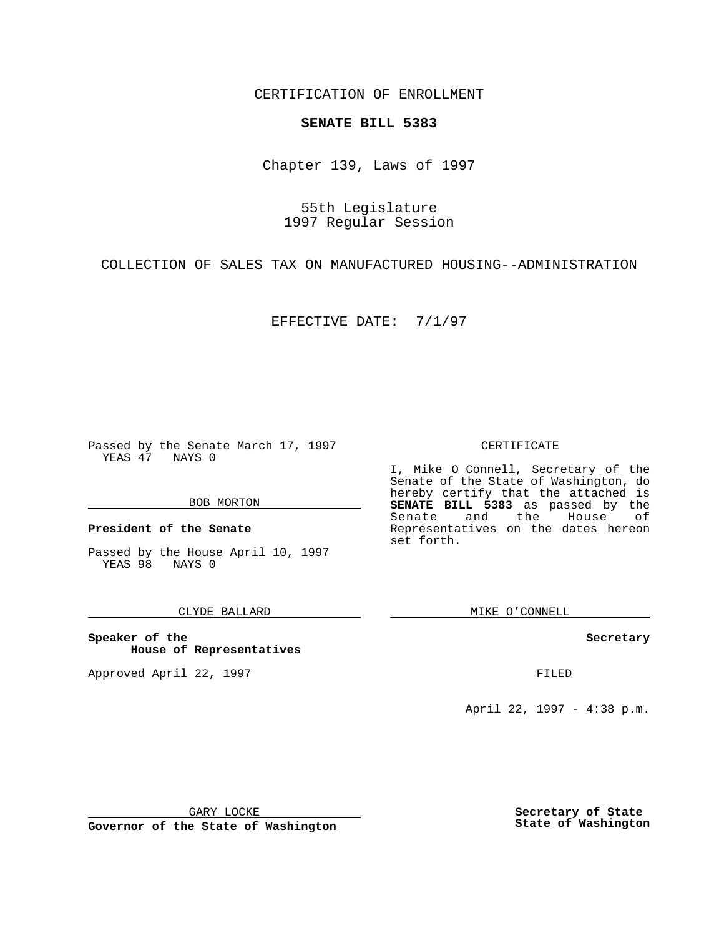CERTIFICATION OF ENROLLMENT

## **SENATE BILL 5383**

Chapter 139, Laws of 1997

55th Legislature 1997 Regular Session

COLLECTION OF SALES TAX ON MANUFACTURED HOUSING--ADMINISTRATION

EFFECTIVE DATE: 7/1/97

Passed by the Senate March 17, 1997 YEAS 47 NAYS 0

#### BOB MORTON

**President of the Senate**

Passed by the House April 10, 1997 YEAS 98 NAYS 0

### CLYDE BALLARD

**Speaker of the House of Representatives**

Approved April 22, 1997 **FILED** 

#### CERTIFICATE

I, Mike O Connell, Secretary of the Senate of the State of Washington, do hereby certify that the attached is **SENATE BILL 5383** as passed by the Senate and the House of Representatives on the dates hereon set forth.

MIKE O'CONNELL

### **Secretary**

April 22, 1997 - 4:38 p.m.

GARY LOCKE

**Governor of the State of Washington**

**Secretary of State State of Washington**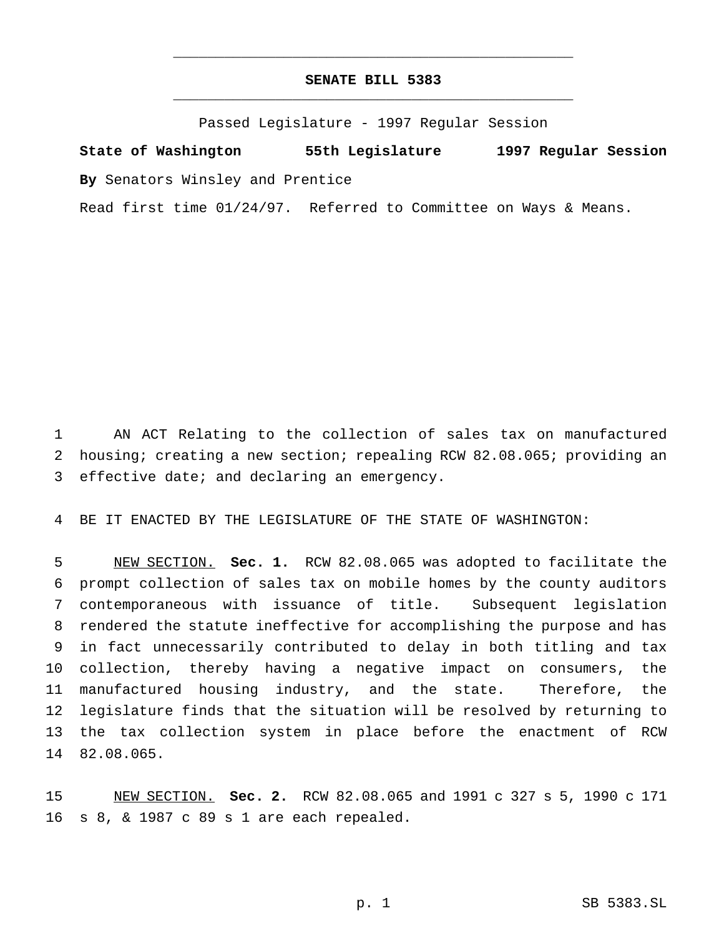# **SENATE BILL 5383** \_\_\_\_\_\_\_\_\_\_\_\_\_\_\_\_\_\_\_\_\_\_\_\_\_\_\_\_\_\_\_\_\_\_\_\_\_\_\_\_\_\_\_\_\_\_\_

\_\_\_\_\_\_\_\_\_\_\_\_\_\_\_\_\_\_\_\_\_\_\_\_\_\_\_\_\_\_\_\_\_\_\_\_\_\_\_\_\_\_\_\_\_\_\_

Passed Legislature - 1997 Regular Session

**State of Washington 55th Legislature 1997 Regular Session By** Senators Winsley and Prentice

Read first time 01/24/97. Referred to Committee on Ways & Means.

 AN ACT Relating to the collection of sales tax on manufactured housing; creating a new section; repealing RCW 82.08.065; providing an effective date; and declaring an emergency.

BE IT ENACTED BY THE LEGISLATURE OF THE STATE OF WASHINGTON:

 NEW SECTION. **Sec. 1.** RCW 82.08.065 was adopted to facilitate the prompt collection of sales tax on mobile homes by the county auditors contemporaneous with issuance of title. Subsequent legislation rendered the statute ineffective for accomplishing the purpose and has in fact unnecessarily contributed to delay in both titling and tax collection, thereby having a negative impact on consumers, the manufactured housing industry, and the state. Therefore, the legislature finds that the situation will be resolved by returning to the tax collection system in place before the enactment of RCW 82.08.065.

 NEW SECTION. **Sec. 2.** RCW 82.08.065 and 1991 c 327 s 5, 1990 c 171 s 8, & 1987 c 89 s 1 are each repealed.